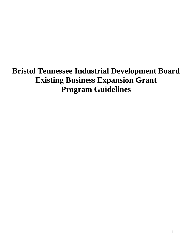# **Bristol Tennessee Industrial Development Board Existing Business Expansion Grant Program Guidelines**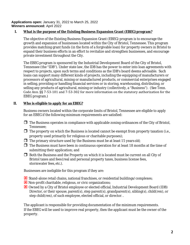#### **Applications open:** January 31, 2022 to March 25, 2022 **Winners announced:** April 2022

## **I.** What is the purpose of the Existing Business Expansion Grant (EBEG) program?

The objective of the Existing Business Expansion Grant (EBEG) program is to encourage the growth and expansion of businesses located within the City of Bristol, Tennessee. This program provides matching grant funds (in the form of a forgivable loan) for property owners in Bristol to expand their business efforts in an effort to revitalize and strengthen businesses, and encourage private investment throughout the City.

The EBEG program is sponsored by the Industrial Development Board of the City of Bristol, Tennessee (the "IDB"). Under state law, the IDB has the power to enter into loan agreements with respect to projects, upon such terms and conditions as the IDB's board deems advisable. Such loans can support many different kinds of projects, including the equipping of manufacturers or processors of agricultural, mining or manufactured products, or commercial enterprises engaged in selling, providing or handling financial services or in storing, warehousing, distributing, or selling any products of agricultural, mining or industry (collectively, a "Business"). (See Tenn. Code Ann. §§ 7-53-101 and 7-53-302 for more information on the statutory authorization for the EBEG program.)

## **II. Who is eligible to apply for an EBEG?**

Business owners located within the corporate limits of Bristol, Tennessee are eligible to apply for an EBEG if the following *minimum* requirements are satisfied:

- $\Box$  The Business operates in compliance with applicable zoning ordinances of the City of Bristol, Tennessee;
- $\Box$  The property on which the Business is located cannot be exempt from property taxation (i.e., property used primarily for religious or charitable purposes);
- $\Box$  The primary structure used by the Business must be at least 15 years old;
- $\Box$  The Business must have been in continuous operation for at least 18 months at the time of submitting their application; and
- $\Box$  Both the Business and the Property on which it is located must be current on all City of Bristol taxes and fees(real and personal property taxes, business license fees, stormwater fees, etc.).

Businesses are ineligible for this program if they are:

- Stand-alone retail chains, national franchises, or residential buildings/complexes;
- Non-profit charitable, religious, or civic organizations;
- Owned by a City of Bristol employee or elected official, Industrial Development Board (IDB) Director, or their spouse, parent(s), step parent(s), grandparent(s), sibling(s), child(ren), or step child(ren), of such employee, elected official, or director. .

The applicant is responsible for providing documentation of the minimum requirements. If the EBEG will be used to improve real property, then the applicant must be the owner of the property.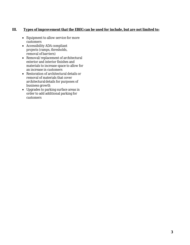## **III. Types of improvement that the EBEG can be used for include, but are not limited to:**

- Equipment to allow service for more customers
- Accessibility ADA compliant projects (ramps, thresholds, removal of barriers)
- Removal/replacement of architectural exterior and interior finishes and materials to increase space to allow for an increase in customers
- Restoration of architectural details or removal of materials that cover architecturaldetails for purposes of business growth
- Upgrades to parking surface areas in order to add additional parking for customers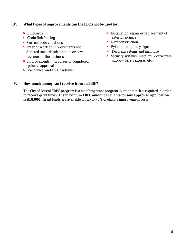### **IV. What types of improvements can the EBEG** *not* **be usedfor?**

- Billboards
- $\star$  Chain-link fencing
- Current code violations
- **\*** Interior work or improvements not directed towards job creation or new revenue for the business
- **x** Improvements in progress or completed prior to approval
- Mechanical and HVAC systems
- **x** Installation, repair or replacement of exterior signage
- **x** New construction
- $\star$  Pylon or temporary signs
- **\*** Decorative items and furniture
- $\star$  Security systems (metal roll down gates, window bars, cameras, etc.)

#### **V. How much money can I receive from anEBIG?**

The City of Bristol EBEG program is a matching grant program. A grant match is *required* in order to receive grant funds. **The maximum EBEG amount available for any approved application is \$10,000.** Grant funds are available for up to 75% of eligible improvement costs.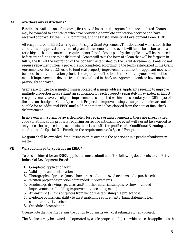### **VI. Are there any restrictions?**

Funding is available on a first come, first served basis until program funds are depleted. Grants may be awarded to applicants who have provided a complete application package and have received approval by the EBEG Committee, and the Bristol Industrial Development Board (IDB).

All recipients of an EBEG are required to sign a Grant Agreement. This document will establish the conditions of approval and terms of grant disbursement. In no event will funds be disbursed in a ratio higher than the matching requirements. Proof of costs paid by the applicant will be required before grant funds are to be disbursed. Grants will take the form of a loan that will be forgiven in full by the IDB at the expiration of the loan term established by the Grant Agreement. Grants do not require repayment *unless* a project is not completed according to the terms established in the Grant Agreement, or, for EBEGs used to fund real property improvements, unless the applicant moves its business to another location prior to the expiration of the loan term. Grant payments *will not* be made if improvements deviate from those outlined in the Grant Agreement and/or have not been previously approved.

Grants are for use for a single business located at a single address. Applicants seeking to improve multiple properties must submit an application for each property separately. If awarded an EBEG, recipients must have the eligible improvements completed within one calendar year (365 days) of the date on the signed Grant Agreement. Properties improved using these grant monies are not eligible for an additional EBEG until a 36-month period has elapsed from the date of final check disbursement.

In no event will a grant be awarded solely for repairs or improvements if there are already cited code violations at the property requiring corrective actions. In no event will a grant be awarded to only meet the required improvements associated with the proffers of a Conditional Rezoning, the conditions of a Special Use Permit, or the requirements of a Special Exception.

No grant shall be awarded if the Business or its owner is the petitioner in a pending bankruptcy matter.

## **VII. What do I need to apply for an EBEG?**

To be considered for an EBEG, applicants must submit all of the following documents to the Bristol Industrial Development Board:

- **1.** Completed application form
- **2.** Valid applicant identification
- **3.** Photographs of project (must show areas to be improved or items to be purchased)
- **4.** Written project description of intended improvements
- **5.** Renderings, drawings, pictures and/or other material samples to show intended improvements (if building improvements are being made)
- **6.** At least two (2) bids or quotes from vendors establishing the project cost
- **7.** Evidence of financial ability to meet matching requirements (bank statement, loan commitment letter, etc.)
- **8.** Schedule of completion

\*Please note that the City retains the option to obtain its own cost estimates for any project.

The Business may be owned and operated by a sole proprietorship (in which case the applicant is the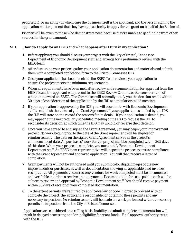proprietor), or an entity (in which case the business itself is the applicant, and the person signing the application must represent that they have the authority to apply for the grant on behalf of the Business).

Priority will be given to those who demonstrate need because they're unable to get funding from other sources for the grant amount.

### **VIII. How do I apply for an EBEG and what happens after I turn in myapplication?**

- **1.** *Before* applying, you should discuss your project with the City of Bristol, Tennessee Department of Economic Development staff, and arrange for a preliminary review with the EBEG<sub>team.</sub>
- **2.** After discussing your project, gather your application documentation and materials and submit them with a completed application form to the Bristol, Tennessee IDB.
- **3.** Once your application has been received, the EBEG Team reviews your application to ensure the project meets the minimum requirements.
- **4.** When all requirements have been met, after review and recommendation for approval from the EBEG Team, the applicant will present to the EBEG Review Committee for consideration of whether to award an EBEG. The Committee will normally notify you the decision result within 30 days of consideration of the application by the IBD at a regular or called meeting.
- **5.** If your application is approved by the IDB, you will coordinate with Economic Development staff to establish the terms of your Grant Agreement. If your application is denied by the IDB, the IDB will state on the record the reasons for its denial. If your application is denied, you may appear at the next regularly scheduled meeting of the IDB to request the IDB to reconsider its decision, at which time the IDB may uphold or reverse their decision.
- **6.** Once you have agreed to and signed the Grant Agreement, you may begin your improvement project. No work begun prior to the date of the Grant Agreement will be eligible for reimbursement. The date on the signed Grant Agreement serves as the project's commencement date. All purchases/work for the project must be completed within 365 days of this date. When your project is complete, you must notify Economic Development Department staff. An EBEG team representative will inspect the project to ensure compliance with the Grant Agreement and approved application. You will then receive a letter of completion.
- **7.** Grant payments will not be authorized until you submit color digital images of the new improvements or purchases, as well as documentation showing all applicable paid invoices, receipts, etc. All payments to contractors/vendors for work completed must be documented and verifiable in order to receive grant payments. Documentation for costs paid in cash will be subject to review and approval by Economic Development staff. You should receive payment within 30 days of receipt of your completed documentation.
- **8.** To the extent permits are required by applicable law or code in order to proceed with or complete the project, the applicant is responsible for obtaining those permits and any necessary inspections. No reimbursement will be made for work performed without necessary permits or inspections from the City of Bristol, Tennessee.

Applications are considered on a rolling basis. Inability to submit complete documentation will result in delayed processing and/or ineligibility for grant funds. Final approval authority rests with the IDB.